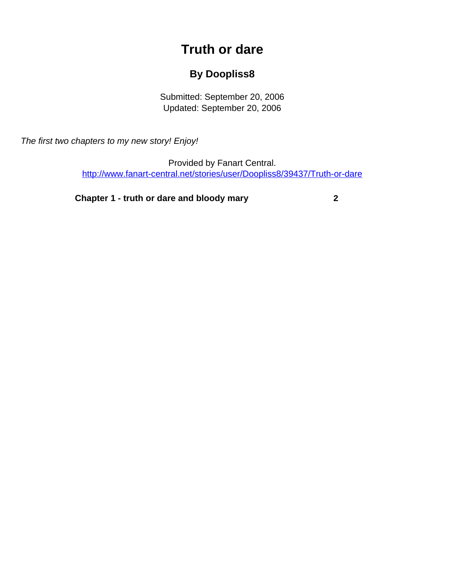## **Truth or dare**

## **By Doopliss8**

Submitted: September 20, 2006 Updated: September 20, 2006

<span id="page-0-0"></span>The first two chapters to my new story! Enjoy!

Provided by Fanart Central. [http://www.fanart-central.net/stories/user/Doopliss8/39437/Truth-or-dare](#page-0-0)

**[Chapter 1 - truth or dare and bloody mary](#page-1-0) [2](#page-1-0)**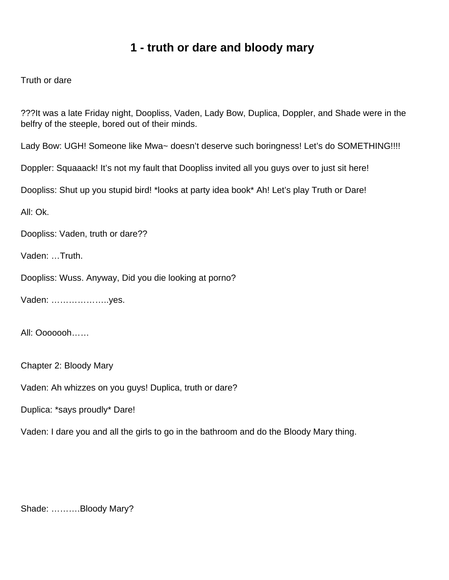## **1 - truth or dare and bloody mary**

<span id="page-1-0"></span>Truth or dare

???It was a late Friday night, Doopliss, Vaden, Lady Bow, Duplica, Doppler, and Shade were in the belfry of the steeple, bored out of their minds.

Lady Bow: UGH! Someone like Mwa~ doesn't deserve such boringness! Let's do SOMETHING!!!!

Doppler: Squaaack! It's not my fault that Doopliss invited all you guys over to just sit here!

Doopliss: Shut up you stupid bird! \*looks at party idea book\* Ah! Let's play Truth or Dare!

All: Ok.

Doopliss: Vaden, truth or dare??

Vaden: …Truth.

Doopliss: Wuss. Anyway, Did you die looking at porno?

Vaden: ………………..yes.

All: Ooooooh……

Chapter 2: Bloody Mary

Vaden: Ah whizzes on you guys! Duplica, truth or dare?

Duplica: \*says proudly\* Dare!

Vaden: I dare you and all the girls to go in the bathroom and do the Bloody Mary thing.

Shade: ……….Bloody Mary?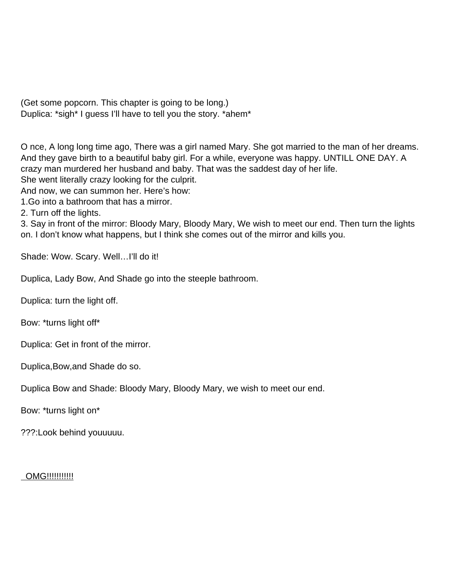(Get some popcorn. This chapter is going to be long.) Duplica: \*sigh\* I guess I'll have to tell you the story. \*ahem\*

O nce, A long long time ago, There was a girl named Mary. She got married to the man of her dreams. And they gave birth to a beautiful baby girl. For a while, everyone was happy. UNTILL ONE DAY. A crazy man murdered her husband and baby. That was the saddest day of her life.

She went literally crazy looking for the culprit.

And now, we can summon her. Here's how:

1.Go into a bathroom that has a mirror.

2. Turn off the lights.

3. Say in front of the mirror: Bloody Mary, Bloody Mary, We wish to meet our end. Then turn the lights on. I don't know what happens, but I think she comes out of the mirror and kills you.

Shade: Wow. Scary. Well...I'll do it!

Duplica, Lady Bow, And Shade go into the steeple bathroom.

Duplica: turn the light off.

Bow: \*turns light off\*

Duplica: Get in front of the mirror.

Duplica,Bow,and Shade do so.

Duplica Bow and Shade: Bloody Mary, Bloody Mary, we wish to meet our end.

Bow: \*turns light on\*

???:Look behind youuuuu.

**OMG!!!!!!!!!!!!**